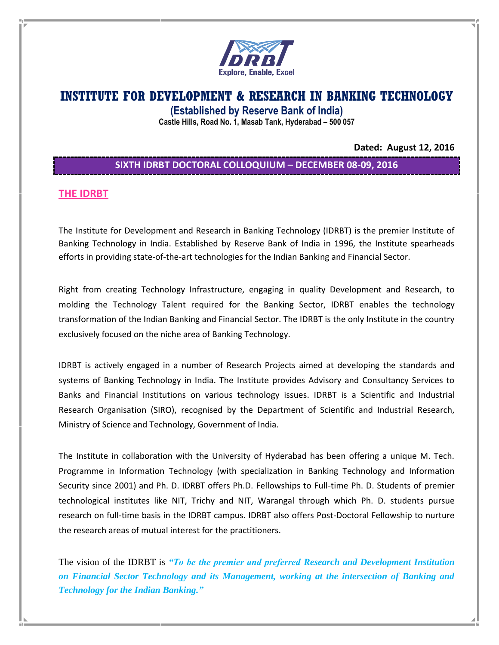

# **INSTITUTE FOR DEVELOPMENT & RESEARCH IN BANKING TECHNOLOGY**

**(Established by Reserve Bank of India)**

**Castle Hills, Road No. 1, Masab Tank, Hyderabad – 500 057**

**Dated: August 12, 2016**

## **SIXTH IDRBT DOCTORAL COLLOQUIUM – DECEMBER 08-09, 2016**

### **THE IDRBT**

The Institute for Development and Research in Banking Technology (IDRBT) is the premier Institute of Banking Technology in India. Established by Reserve Bank of India in 1996, the Institute spearheads efforts in providing state-of-the-art technologies for the Indian Banking and Financial Sector.

Right from creating Technology Infrastructure, engaging in quality Development and Research, to molding the Technology Talent required for the Banking Sector, IDRBT enables the technology transformation of the Indian Banking and Financial Sector. The IDRBT is the only Institute in the country exclusively focused on the niche area of Banking Technology.

IDRBT is actively engaged in a number of Research Projects aimed at developing the standards and systems of Banking Technology in India. The Institute provides Advisory and Consultancy Services to Banks and Financial Institutions on various technology issues. IDRBT is a Scientific and Industrial Research Organisation (SIRO), recognised by the Department of Scientific and Industrial Research, Ministry of Science and Technology, Government of India.

The Institute in collaboration with the University of Hyderabad has been offering a unique M. Tech. Programme in Information Technology (with specialization in Banking Technology and Information Security since 2001) and Ph. D. IDRBT offers Ph.D. Fellowships to Full-time Ph. D. Students of premier technological institutes like NIT, Trichy and NIT, Warangal through which Ph. D. students pursue research on full-time basis in the IDRBT campus. IDRBT also offers Post-Doctoral Fellowship to nurture the research areas of mutual interest for the practitioners.

The vision of the IDRBT is *"To be the premier and preferred Research and Development Institution on Financial Sector Technology and its Management, working at the intersection of Banking and Technology for the Indian Banking."*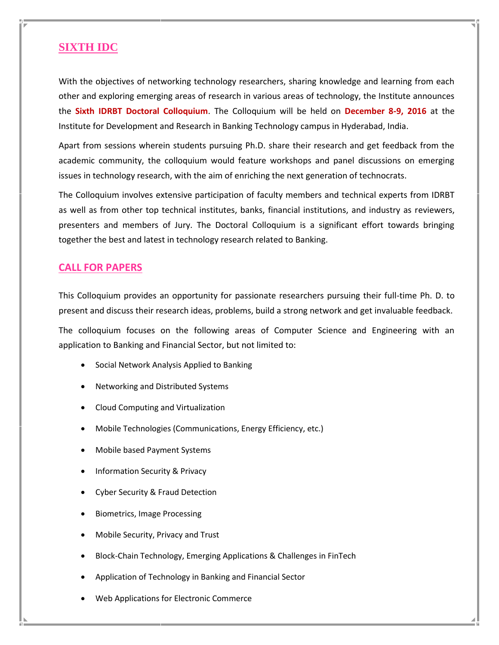## **SIXTH IDC**

With the objectives of networking technology researchers, sharing knowledge and learning from each other and exploring emerging areas of research in various areas of technology, the Institute announces the **Sixth IDRBT Doctoral Colloquium**. The Colloquium will be held on **December 8-9, 2016** at the Institute for Development and Research in Banking Technology campus in Hyderabad, India.

Apart from sessions wherein students pursuing Ph.D. share their research and get feedback from the academic community, the colloquium would feature workshops and panel discussions on emerging issues in technology research, with the aim of enriching the next generation of technocrats.

The Colloquium involves extensive participation of faculty members and technical experts from IDRBT as well as from other top technical institutes, banks, financial institutions, and industry as reviewers, presenters and members of Jury. The Doctoral Colloquium is a significant effort towards bringing together the best and latest in technology research related to Banking.

### **CALL FOR PAPERS**

This Colloquium provides an opportunity for passionate researchers pursuing their full-time Ph. D. to present and discuss their research ideas, problems, build a strong network and get invaluable feedback.

The colloquium focuses on the following areas of Computer Science and Engineering with an application to Banking and Financial Sector, but not limited to:

- Social Network Analysis Applied to Banking
- Networking and Distributed Systems
- Cloud Computing and Virtualization
- Mobile Technologies (Communications, Energy Efficiency, etc.)
- Mobile based Payment Systems
- Information Security & Privacy
- Cyber Security & Fraud Detection
- Biometrics, Image Processing
- Mobile Security, Privacy and Trust
- Block-Chain Technology, Emerging Applications & Challenges in FinTech
- Application of Technology in Banking and Financial Sector
- Web Applications for Electronic Commerce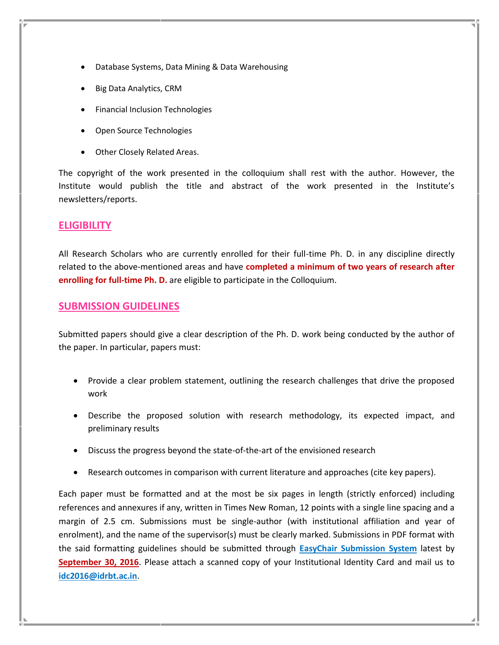- Database Systems, Data Mining & Data Warehousing
- Big Data Analytics, CRM
- Financial Inclusion Technologies
- Open Source Technologies
- Other Closely Related Areas.

The copyright of the work presented in the colloquium shall rest with the author. However, the Institute would publish the title and abstract of the work presented in the Institute's newsletters/reports.

#### **ELIGIBILITY**

All Research Scholars who are currently enrolled for their full-time Ph. D. in any discipline directly related to the above-mentioned areas and have **completed a minimum of two years of research after enrolling for full-time Ph. D.** are eligible to participate in the Colloquium.

#### **SUBMISSION GUIDELINES**

Submitted papers should give a clear description of the Ph. D. work being conducted by the author of the paper. In particular, papers must:

- Provide a clear problem statement, outlining the research challenges that drive the proposed work
- Describe the proposed solution with research methodology, its expected impact, and preliminary results
- Discuss the progress beyond the state-of-the-art of the envisioned research
- Research outcomes in comparison with current literature and approaches (cite key papers).

Each paper must be formatted and at the most be six pages in length (strictly enforced) including references and annexures if any, written in Times New Roman, 12 points with a single line spacing and a margin of 2.5 cm. Submissions must be single-author (with institutional affiliation and year of enrolment), and the name of the supervisor(s) must be clearly marked. Submissions in PDF format with the said formatting guidelines should be submitted through **[EasyChair Submission System](https://easychair.org/conferences/?conf=idc20160)** latest by **September 30, 2016**. Please attach a scanned copy of your Institutional Identity Card and mail us to **[idc2016@idrbt.ac.in](mailto:idc2016@idrbt.ac.in)**.